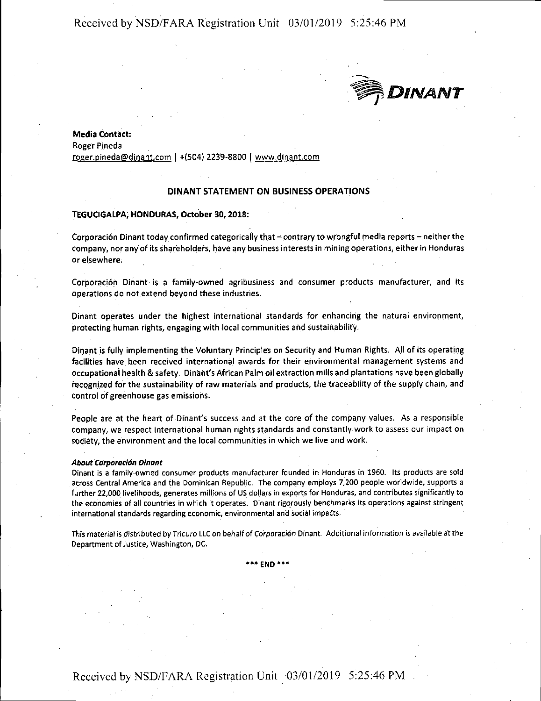# Received by NSD/FARA Registration Unit 03/01/2019 5:25:46 PM



**Media Contact:**  Roger Pineda roger.pineda@dinant.com I +(504) 2239-8800 I www.dinant.com

# **DINANT STATEMENT ON BUSINESS OPERATIONS**

# **TEGUCIGALPA, HONDURAS, October 30, 2018:**

Corporación Dinant today confirmed categorically that - contrary to wrongful media reports - neither the company, nor any of its shareholders, have any business interests in mining operations, either in Honduras or elsewhere.

Corporación Dinant is a family-owned agribusiness and consumer products manufacturer, and its operations do not extend beyond these industries.

Dinant operates under the highest international standards for enhancing the natural environment, protecting human rights, engaging with local communities and sustainability.

Dinant is fully implementing the Voluntary Principles on Security and Human Rights. All of its operating facilities have been received international awards for their environmental management systems and occupational health & safety. Dinant's African Palm oil extraction mills and plantations have been globally recognized for the sustainability of raw materials and products, the traceability of the supply chain, and control of greenhouse gas emissions.

People are at the heart of Dinant's success and at the core of the company values. As a responsible company, we respect international human rights standards and constantly work to assess our impact on society, the environment and the local communities in which we live and work.

#### *About 'corporacidn Dinant*

Dinant is a family-owned consumer products manufacturer founded in Honduras in 1960. Its products are sold across Central America and the Dominican Republic. The company employs 7,200 people worldwide, supports a further 22,000 livelihoods, generates millions of US dollars in exports for Honduras, and contributes significantly to the economies of all countries in which it operates. Dinant rigorously benchmarks its operations against stringent international standards regarding economic, environmental and social impacts.

**This material is distributed by Tricuro LLC on behalf of Co'rporaci6n Dinant. Additional information is available at the**  Department of Justice, Washington, DC.

**\*\*\*END\*\*\*** 

Received by NSD/FARA Registration Unit 03/01/2019 5:25:46 PM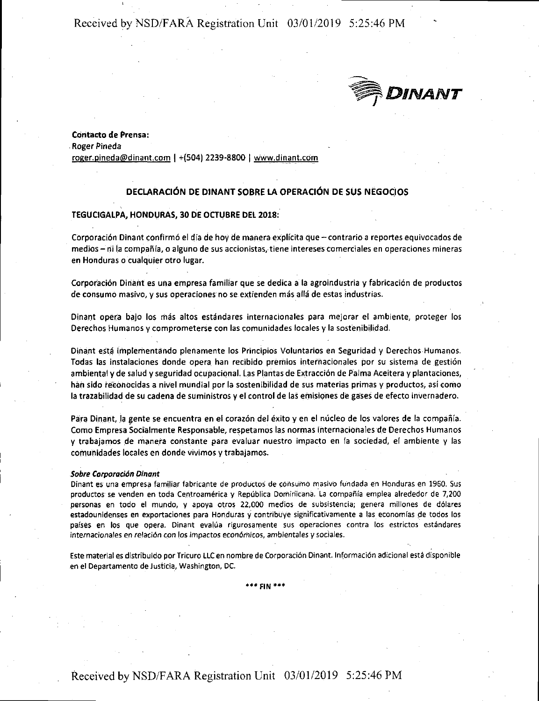Received by NSD/FARA Registration Unit 03/01/2019 5:25:46 PM



**Co.ntacto de Prensa:**  Roger Pineda roger.pineda@dinant.com I +(504) 2239-8800 I www.dinant.com

# **DECLARACIÓN DE DINANT SOBRE LA OPERACIÓN DE SUS NEGOCIOS**

## **TEGUCIGALPA, HONDURAS, 30 DE OCTUBRE DEL 2018:**

Corporación Dinant confirmó el día de hoy de manera explícita que - contrario a reportes equivocados de **medios -** ni la compañía, o alguno de sus accionistas, tiene intereses comerciales en operaciones mineras en Honduras a cualquier otro lugar.

Corporación Dinant es una empresa familiar que se dedica a la agroindustria y fabricación de productos de consume masivo, y sus operaciones nose extienden mas alla de estas industrias.

Dinant opera bajo los más altos estándares internacionales para mejorar el ambiente, proteger los Derechos Humanos y comprometerse con las comunidades locales y la sostenibilidad.

Dinant está implementando plenamente los Principios Voluntarios en Seguridad y Derechos Humanos. Todas las instalaciones donde opera han recibido premios internacionales por su sistema de gestión ambiental y de salud y seguridad ocupacional. Las Plantas de Extracción de Palma Aceitera y plantaciones, han sido reconocidas a nivel mundial par la sostenibilidad de sus materias primas y productos, asi coma la trazabilidad de su cadena de suministros y el control de las erhisiones de gases de efecto invernadero.

Para Dinant, la gente se encuentra en el corazón del éxito y en el núcleo de los valores de la compañía. Como Empresa Socialmente Responsable, respetamos las normas internacionales de Derechos Humanos y trabajamos de manera constante para evaluar nuestro impacto en la sociedad, el ambiente y las comunidades locales en donde vivimos y trabajamos.

### **Sobre Corporacion Dinant**

Dinant es una empresa familiar fabricante de productos de consumo masivo fundada en Honduras en 1960. Sus productos se venden en toda Centroamérica y República Dominiicana. La compañía emplea alrededor de 7,200 personas en todo el mundo, y apoya otros 22,000 medios de subsistencia; genera millones de dólares estadounidenses en exportaciones para Honduras y contribuye significativamente a las economías de todos los países en los que opera. Dinant evalúa rigurosamente sus operaciones contra los estrictos estándares **internacionales en relación con los impactos económicos, ambientales y sociales.** 

Este material es distribuido par Tricuro LLC en nombre de Corporaci6n Dinant. lnformaci6n adicional esta disponible en el Departamento de Justicia, Washington, DC.

**•••FIN"\*\*** 

Received by NSD/FARA Registration Unit 03/01/2019 5:25:46 PM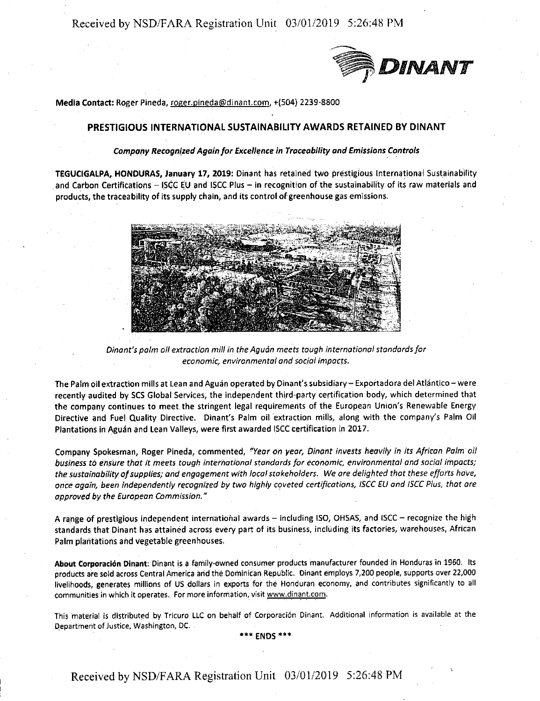Received by NSD/FARA Registration Unit 03/01/2019 5:26:48 PM



**Media Contact:** Roger Pineda, roger.pineda@dinant.com, +(504) 2239-8800

# PRESTIGIOUS INTERNATIONAL SUSTAINABILITY AWARDS RETAINED BY DINANT

# **Company Recognized Again for Excellence** *in Traceability and* **Emissions** *Controls*

**TEGUCIGALPA, HONDURAS, January 17, 2019:** Dinant has retained two prestigious International Sustainability and Carbon Certifications - ISCC EU and ISCC Plus - in recognition of the sustainability of its raw materials and products, the traceability of its supply chain, and its control of greenhouse gas emissions.



*Dinant's palm oil extraction mill in the Aguon meets tough international standards for e.conomic, environmental and soc/al impac(s.* 

The Palm oil extraction mills at Lean and Aguán operated by Dinant's subsidiary – Exportadora del Atlántico – were recently audited by SCS Global Services, the independent third-party certification body, which determined that the company continues to meet the stringent legal requirements of the European Union's Renewable Energy Directive and Fuel Quality Directive. Dinant's Palm oil extraction mills, along with the company's Palm Oil Plantations in Aguan and Lean Valleys, were first awarded ISCC certification in 2017.

Company Spokesman, Roger Pineda, commented, *"Year on year, Dinant invests heavily in its African Palm oil*  business to ensure that it meets tough international standards for economic, environmental and social impacts; *the sustainability of supplies; and engagement with local stakeholders. We are delighted that these efforts hove, once again, been independently recognized by* two *highly coveted certifications, ISCC EU and JSCC Plus, that are approved by the European Commission."* 

A range of prestigious independent international awards - including ISO, OHSAS, and ISCC - recognize the high standards that Dinant has attained across every part of its business, including its factories, warehouses, African Palm plantations and vegetable greenhouses.

About Corporación Dinant: Dinant is a family-owned consumer products manufacturer founded in Honduras in 1960. Its products are sold across Central America and the Dominican Republic. Dinant employs 7,200 people, supports over 22,000 livelihoods, generates millions of US dollars in exports for the Honduran economy, and contributes significantly to all communities in which it operates. For more information, visit www.dinant.com.

This material is distributed by Tricuro LLC on behalf of Corporación Dinant. Additional information is available at the **Qepartmerit of Justice, Washington, DC.** 

**\*\*\*ENDS•••** 

Received by NSD/FARA Registration Unit 03/01/2019 5:26:48 PM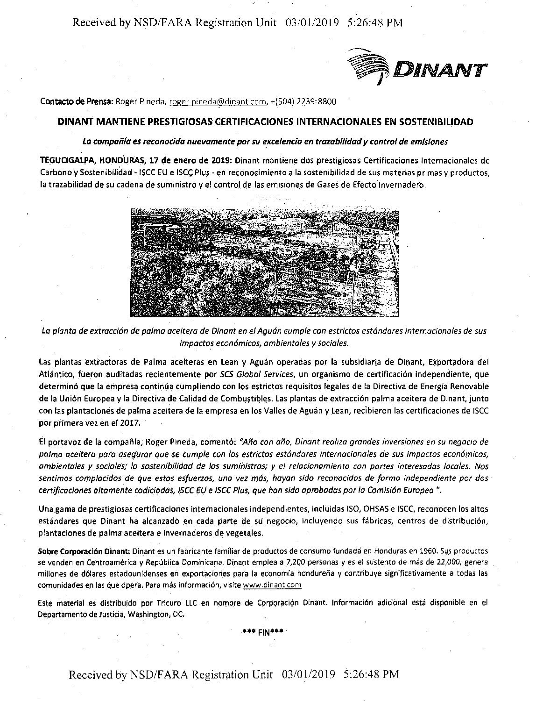Received by NSD/FARA Registration Unit 03/01/2019 5:26:48 PM



**Contacto de Prensa:** Roger Pineda, roger pineda@dinant.com, +(504) 2239-8800

# **DINANT MANTIENE PRESTIGIOSAS CERTIFICACIONES INTERNACIONALES EN SOSTENIBILIDAD**

# *La campaiila es recanacida nuevamente par su excelencia en trazabilidad y control de emisianes*

**TEGUCIGALPA, HONDURAS, 17 de enero de 2019:** Dinant mantiene dos prestigiosas Certificaciones lnternacionales de Carbono y Sostenibilidad - ISCC EU e ISCC Plus - en reconocimiento a la sostenibilidad de sus materias primas y productos, la trazabilidad de su cadena de suministro y el control de las emisiones de Gases de Efecto lnvernadero.



La planta de extracción de palma aceitera de Dinant en el Aguán cumple con estrictos estándares internacionales de sus *impacto.s econ6micos, ambientales y sociales.* 

Las plantas extractoras de Palma aceiteras en Lean y Aguán operadas por la subsidiaria de Dinant, Exportadora del Atlantico, fueron auditadas recientemente par *SCS Global Services,* un organismo de certificaci6n independiente, que determinó que la empresa continúa cumpliendo con los estrictos requisitos legales de la Directiva de Energía Renovable de la Unión Europea y la Directiva de Calidad de Combustibles. Las plantas de extracción palma aceitera de Dinant, junto con las plantaciones de palma aceitera de la empresa en los Valles de Aguán y Lean, recibieron las certificaciones de ISCC par piimera vez en el 2017.

El portavoz de la compania, Roger Pineda, coment6: *"Ano can ano, Dinont reoliza grandes invers.iones en su negocio de*  palma aceitera para asegurar que se cumple con los estrictos estándares internacionales de sus impactos económicos, *ombientoles y socio/es; la sostenibilidad de las suministras; y el re/ocionomiento con portes interesadas locales. Nos sentimos complacidos de que estos esfuerzos, una vez mas, hayan sido reconocidos de forma independiente por dos certificociones altamente codiciados, ISCC EU e JSCC Plus, que hon sido aprobadas par la Comisi6n Eurapea* ".

Una gama de prestigiosas certificaciones internacionales independientes, induidas ISO, OHSAS e ISCC, reconocen los altos estándares que Dinant ha alcanzado en cada parte de su negocio, incluyendo sus fábricas, centros de distribución, plantaciones de palma aceitera e invernaderos de vegetales.

Sobre Corporación Dinant: Dinant es un fabricante familiar de productos de consumo fundada en Honduras en 1960. Sus productos *se* venden en Centroamerica y Republica Dominicana. Dinant emplea a 7,200 personas yes el sustento de mas de 22,000, genera millones de dólares estadounidenses en exportaciones para la economía hondureña y contribuye significativamente a todas las comunidades en las que opera. Para más información, visite www.dinant.com

Este material es distribuido por Tricuro LLC en nombre de Corporación Dinant. Información adicional está disponible en el Departamento de Justicia, Washington, DC.

\*\*\* **FIN\*\*\***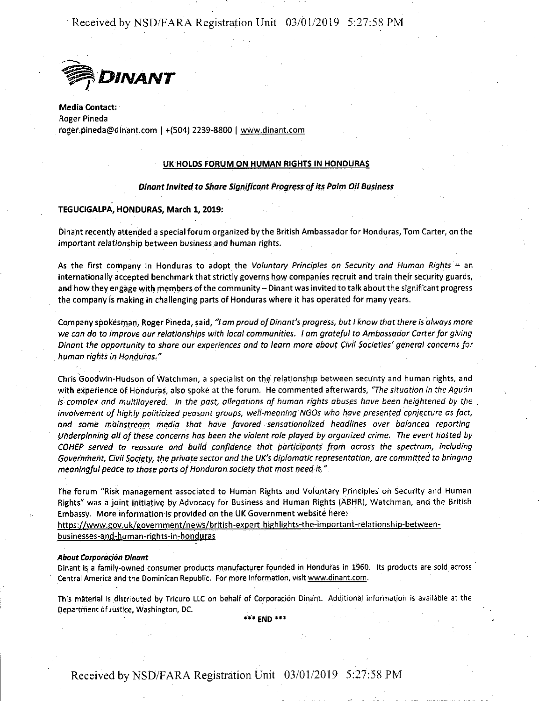Received by NSD/FARA Registration Unit 03/01/2019 5:27:58 PM



**Media Contact:**  Roger Pineda roger.pineda@dinant.com I +(504) 2239-8800 I www.dinant.com

## **UK HOLDS FORUM ON HUMAN RIGHTS IN HONDURAS**

## **Dinant Invited ta Share Significant Progress of its Palm Oil Business**

### **TEGUCIGALPA, HONDURAS, March 1, 2019:**

Dinant recently attended a special forum organized by the British Ambassador for Honduras, Tom Carter, on the important relationship between business and human rights.

As the first company in Honduras to adopt the *Voluntary Principles on Security and Human Rights* - an internationally accepted benchmark that strictly governs how companies recruit and train their security guards, and how they engage with members of the community- Dinant was invited to talk aboutthe significant progress the company is making in challenging parts of Honduras where it has operated for many years.

Company spokesman, Roger Pineda, said, *"I am proud of Dinant's progress, but I know that there is always more we con do to improve our relationships with local communities. I am grateful to Ambassador Carter for giving Dinant the opportunity to share our experiences and ta learn more about Civil Societies' general concerns for*  . *human rights in Honduras."* 

Chris Goodwin-Hudson of Watchman, a specialist on the relationship between security and human rights, and with experience of Honduras, also spoke at the forum. He commented afterwards, *"The situation in the Aguon is complex and multilayered, In the past, allegations of human rights abuses have been heightened by the involvement of highly politicized peasant groups, well-meaning NGOs who have presented conjecture as fact, and some mainstream media that have favored 'Sensationalized headlines over balanced reporting. Underpinning all of these concerns has been the violent role played by organized crime. The event hosted by COHEP served to reassure and build confidence thdt participants from across the spectrum, including Government, Civil Society, the private sector and the UK's diplomatic representation, are committed to bringing meaningful peace to those parts of Honduran society that most need it."* 

The forum "Risk management associated to Human Rights and Voluntary Principles on Security and Human Rights<sup>"</sup> was a joint initiative by Advocacy for Business and Human Rights (ABHR), Watchman, and the British Embassy. More information is provided on the UK Government website here:

https://www.gov.uk/government/news/british-expert-highlights-the-important-relationship-betweenbusinesses-and-human-rights-in-honduras

#### *About Corporod6n Dinant*

Dinant is a family-owned consumer products manufacturer founded in Honduras.in 1960. Its products are sold across · Central America and the Dominican Republic. For more information, visit www.dinant.com.

This material is distributed by Tricuro LLC on behalf of Corporación Dinant. Additional information is available at the **Department of Justice, Washington, DC.** 

\*0 **END"'\*\*** 

Received by NSD/FARA Registration Unit 03/01/2019 5:27:58 PM